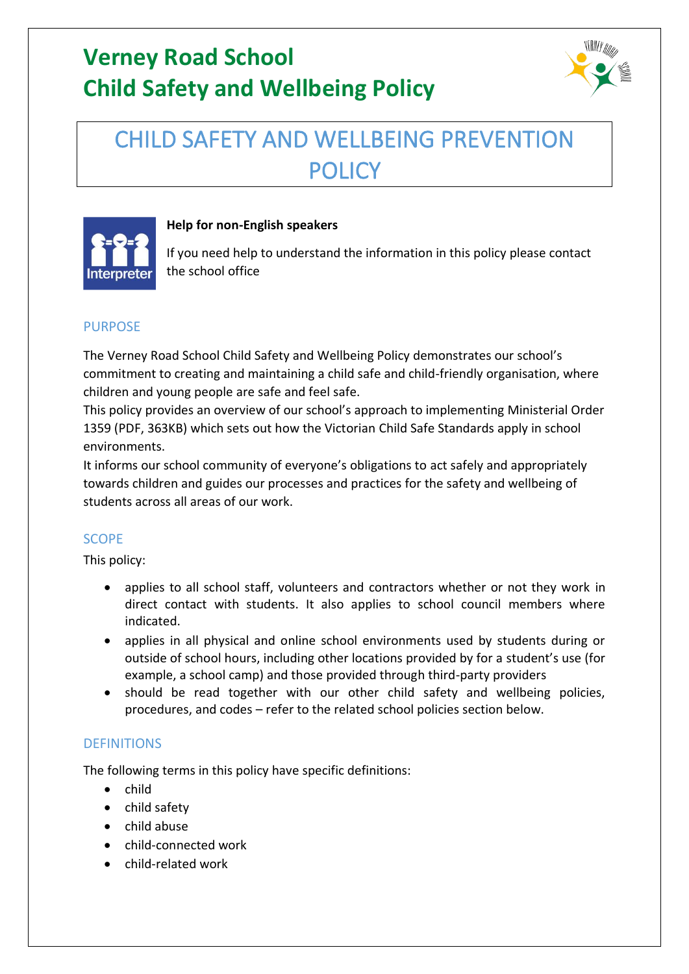

# CHILD SAFETY AND WELLBEING PREVENTION POLICY<sub></sub>



### **Help for non-English speakers**

If you need help to understand the information in this policy please contact the school office

## PURPOSE

The Verney Road School Child Safety and Wellbeing Policy demonstrates our school's commitment to creating and maintaining a child safe and child-friendly organisation, where children and young people are safe and feel safe.

This policy provides an overview of our school's approach to implementing Ministerial Order 1359 (PDF, 363KB) which sets out how the Victorian Child Safe Standards apply in school environments.

It informs our school community of everyone's obligations to act safely and appropriately towards children and guides our processes and practices for the safety and wellbeing of students across all areas of our work.

### **SCOPE**

This policy:

- applies to all school staff, volunteers and contractors whether or not they work in direct contact with students. It also applies to school council members where indicated.
- applies in all physical and online school environments used by students during or outside of school hours, including other locations provided by for a student's use (for example, a school camp) and those provided through third-party providers
- should be read together with our other child safety and wellbeing policies, procedures, and codes – refer to the related school policies section below.

### **DEFINITIONS**

The following terms in this policy have specific definitions:

- child
- child safety
- child abuse
- child-connected work
- child-related work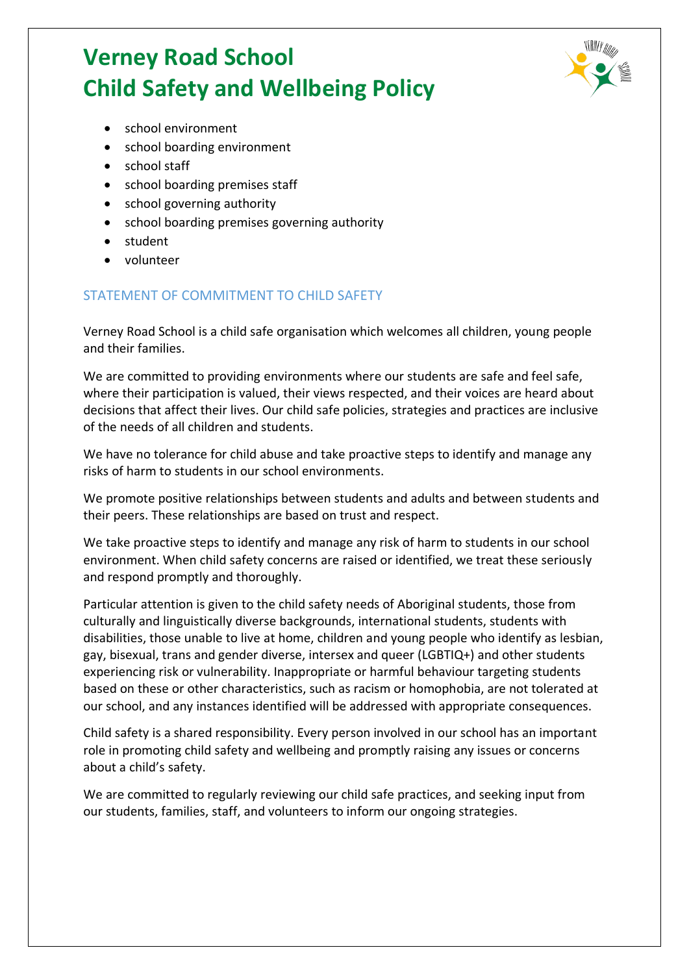

- school environment
- school boarding environment
- school staff
- school boarding premises staff
- school governing authority
- school boarding premises governing authority
- student
- volunteer

#### STATEMENT OF COMMITMENT TO CHILD SAFETY

Verney Road School is a child safe organisation which welcomes all children, young people and their families.

We are committed to providing environments where our students are safe and feel safe, where their participation is valued, their views respected, and their voices are heard about decisions that affect their lives. Our child safe policies, strategies and practices are inclusive of the needs of all children and students.

We have no tolerance for child abuse and take proactive steps to identify and manage any risks of harm to students in our school environments.

We promote positive relationships between students and adults and between students and their peers. These relationships are based on trust and respect.

We take proactive steps to identify and manage any risk of harm to students in our school environment. When child safety concerns are raised or identified, we treat these seriously and respond promptly and thoroughly.

Particular attention is given to the child safety needs of Aboriginal students, those from culturally and linguistically diverse backgrounds, international students, students with disabilities, those unable to live at home, children and young people who identify as lesbian, gay, bisexual, trans and gender diverse, intersex and queer (LGBTIQ+) and other students experiencing risk or vulnerability. Inappropriate or harmful behaviour targeting students based on these or other characteristics, such as racism or homophobia, are not tolerated at our school, and any instances identified will be addressed with appropriate consequences.

Child safety is a shared responsibility. Every person involved in our school has an important role in promoting child safety and wellbeing and promptly raising any issues or concerns about a child's safety.

We are committed to regularly reviewing our child safe practices, and seeking input from our students, families, staff, and volunteers to inform our ongoing strategies.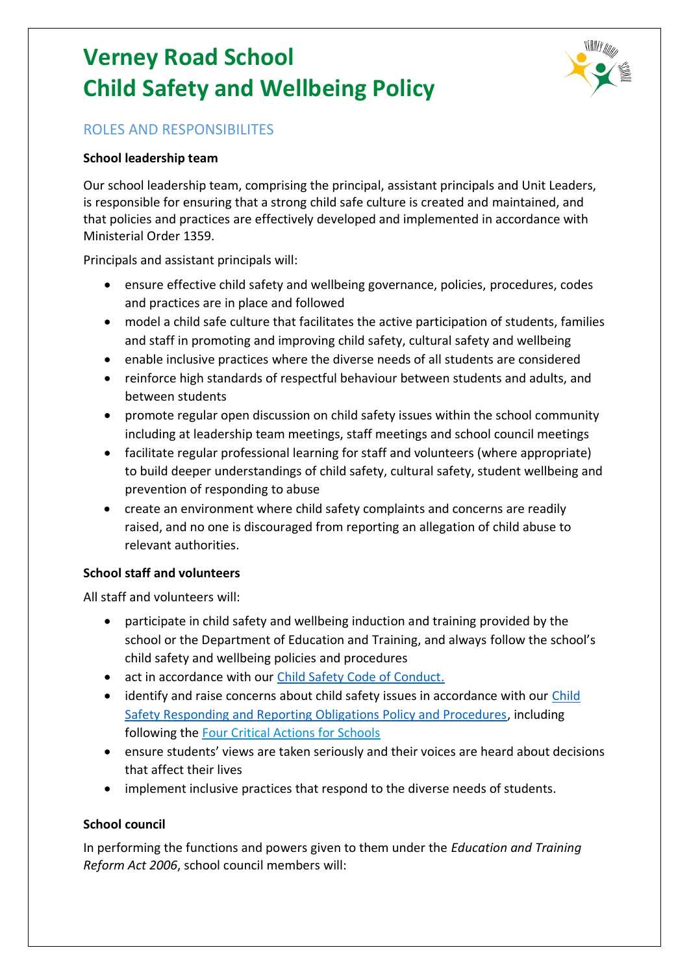

## ROLES AND RESPONSIBILITES

#### **School leadership team**

Our school leadership team, comprising the principal, assistant principals and Unit Leaders, is responsible for ensuring that a strong child safe culture is created and maintained, and that policies and practices are effectively developed and implemented in accordance with Ministerial Order 1359.

Principals and assistant principals will:

- ensure effective child safety and wellbeing governance, policies, procedures, codes and practices are in place and followed
- model a child safe culture that facilitates the active participation of students, families and staff in promoting and improving child safety, cultural safety and wellbeing
- enable inclusive practices where the diverse needs of all students are considered
- reinforce high standards of respectful behaviour between students and adults, and between students
- promote regular open discussion on child safety issues within the school community including at leadership team meetings, staff meetings and school council meetings
- facilitate regular professional learning for staff and volunteers (where appropriate) to build deeper understandings of child safety, cultural safety, student wellbeing and prevention of responding to abuse
- create an environment where child safety complaints and concerns are readily raised, and no one is discouraged from reporting an allegation of child abuse to relevant authorities.

#### **School staff and volunteers**

All staff and volunteers will:

- participate in child safety and wellbeing induction and training provided by the school or the Department of Education and Training, and always follow the school's child safety and wellbeing policies and procedures
- act in accordance with our [Child Safety Code of Conduct.](http://verneyrd.vic.edu.au/wp-content/uploads/2022/06/VRS-Child-Safety-Code-of-Conduct.pdf)
- identify and raise concerns about child safety issues in accordance with our Child [Safety Responding and Reporting Obligations Policy and Procedures,](http://verneyrd.vic.edu.au/wp-content/uploads/2022/06/VRS-Child-Safety-Responding-and-Reporting-Obligations-Policy-and-Procedures.pdf) including following the [Four Critical Actions for Schools](https://www.education.vic.gov.au/school/teachers/health/childprotection/Pages/report.aspx)
- ensure students' views are taken seriously and their voices are heard about decisions that affect their lives
- implement inclusive practices that respond to the diverse needs of students.

#### **School council**

In performing the functions and powers given to them under the *Education and Training Reform Act 2006*, school council members will: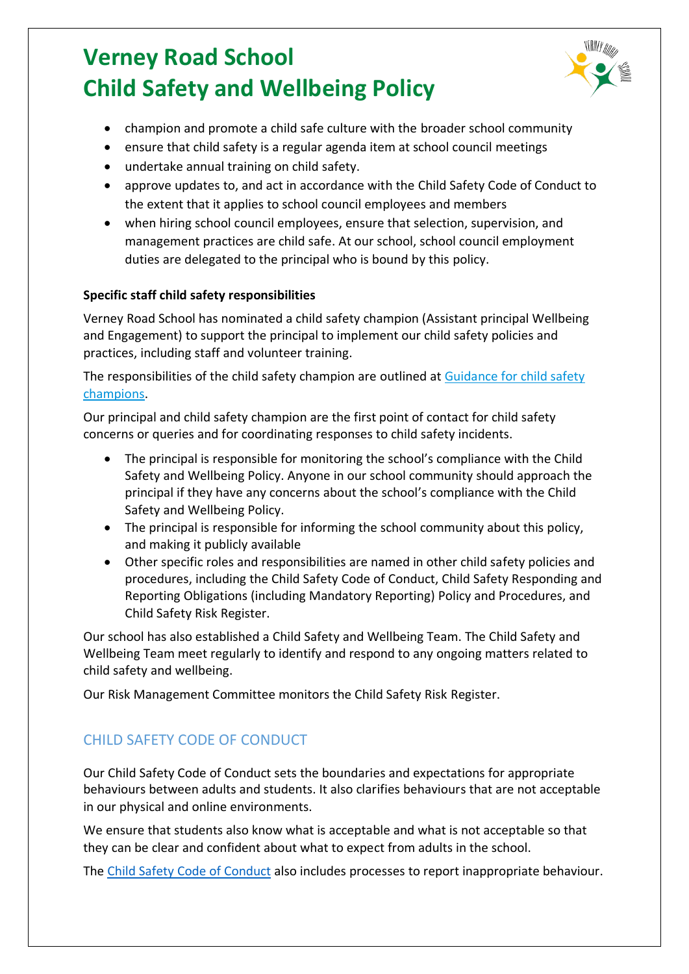

- champion and promote a child safe culture with the broader school community
- ensure that child safety is a regular agenda item at school council meetings
- undertake annual training on child safety.
- approve updates to, and act in accordance with the Child Safety Code of Conduct to the extent that it applies to school council employees and members
- when hiring school council employees, ensure that selection, supervision, and management practices are child safe. At our school, school council employment duties are delegated to the principal who is bound by this policy.

### **Specific staff child safety responsibilities**

Verney Road School has nominated a child safety champion (Assistant principal Wellbeing and Engagement) to support the principal to implement our child safety policies and practices, including staff and volunteer training.

The responsibilities of the child safety champion are outlined at Guidance for child safety [champions.](https://www.vic.gov.au/guidance-child-safety-champions)

Our principal and child safety champion are the first point of contact for child safety concerns or queries and for coordinating responses to child safety incidents.

- The principal is responsible for monitoring the school's compliance with the Child Safety and Wellbeing Policy. Anyone in our school community should approach the principal if they have any concerns about the school's compliance with the Child Safety and Wellbeing Policy.
- The principal is responsible for informing the school community about this policy, and making it publicly available
- Other specific roles and responsibilities are named in other child safety policies and procedures, including the Child Safety Code of Conduct, Child Safety Responding and Reporting Obligations (including Mandatory Reporting) Policy and Procedures, and Child Safety Risk Register.

Our school has also established a Child Safety and Wellbeing Team. The Child Safety and Wellbeing Team meet regularly to identify and respond to any ongoing matters related to child safety and wellbeing.

Our Risk Management Committee monitors the Child Safety Risk Register.

# CHILD SAFETY CODE OF CONDUCT

Our Child Safety Code of Conduct sets the boundaries and expectations for appropriate behaviours between adults and students. It also clarifies behaviours that are not acceptable in our physical and online environments.

We ensure that students also know what is acceptable and what is not acceptable so that they can be clear and confident about what to expect from adults in the school.

The [Child Safety Code of Conduct](http://verneyrd.vic.edu.au/wp-content/uploads/2022/06/VRS-Child-Safety-Code-of-Conduct.pdf) also includes processes to report inappropriate behaviour.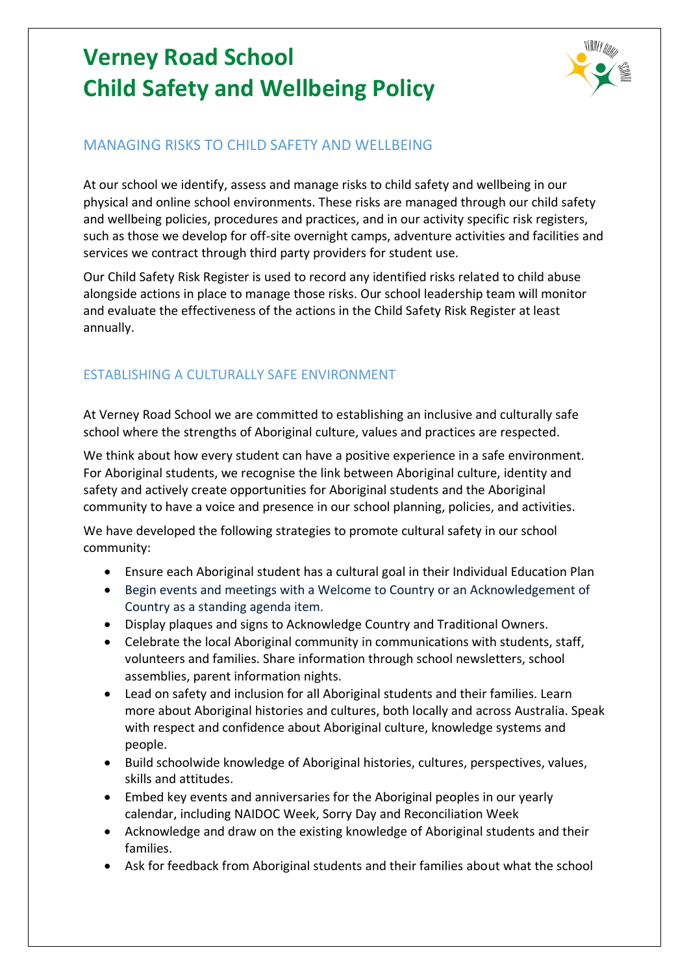

## MANAGING RISKS TO CHILD SAFETY AND WELLBEING

At our school we identify, assess and manage risks to child safety and wellbeing in our physical and online school environments. These risks are managed through our child safety and wellbeing policies, procedures and practices, and in our activity specific risk registers, such as those we develop for off-site overnight camps, adventure activities and facilities and services we contract through third party providers for student use.

Our Child Safety Risk Register is used to record any identified risks related to child abuse alongside actions in place to manage those risks. Our school leadership team will monitor and evaluate the effectiveness of the actions in the Child Safety Risk Register at least annually.

# ESTABLISHING A CULTURALLY SAFE ENVIRONMENT

At Verney Road School we are committed to establishing an inclusive and culturally safe school where the strengths of Aboriginal culture, values and practices are respected.

We think about how every student can have a positive experience in a safe environment. For Aboriginal students, we recognise the link between Aboriginal culture, identity and safety and actively create opportunities for Aboriginal students and the Aboriginal community to have a voice and presence in our school planning, policies, and activities.

We have developed the following strategies to promote cultural safety in our school community:

- Ensure each Aboriginal student has a cultural goal in their Individual Education Plan
- Begin events and meetings with a Welcome to Country or an Acknowledgement of Country as a standing agenda item.
- Display plaques and signs to Acknowledge Country and Traditional Owners.
- Celebrate the local Aboriginal community in communications with students, staff, volunteers and families. Share information through school newsletters, school assemblies, parent information nights.
- Lead on safety and inclusion for all Aboriginal students and their families. Learn more about Aboriginal histories and cultures, both locally and across Australia. Speak with respect and confidence about Aboriginal culture, knowledge systems and people.
- Build schoolwide knowledge of Aboriginal histories, cultures, perspectives, values, skills and attitudes.
- Embed key events and anniversaries for the Aboriginal peoples in our yearly calendar, including NAIDOC Week, Sorry Day and Reconciliation Week
- Acknowledge and draw on the existing knowledge of Aboriginal students and their families.
- Ask for feedback from Aboriginal students and their families about what the school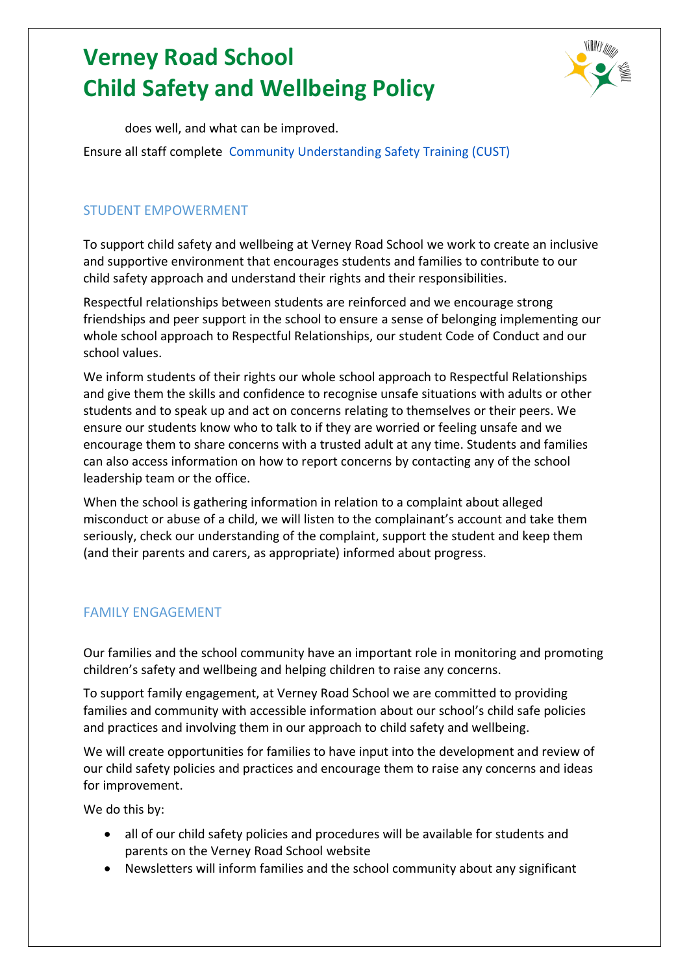

does well, and what can be improved.

Ensure all staff complete [Community Understanding Safety Training](https://www.vaeai.org.au/community-understanding-safety-training-online-information-session/) (CUST)

### STUDENT EMPOWERMENT

To support child safety and wellbeing at Verney Road School we work to create an inclusive and supportive environment that encourages students and families to contribute to our child safety approach and understand their rights and their responsibilities.

Respectful relationships between students are reinforced and we encourage strong friendships and peer support in the school to ensure a sense of belonging implementing our whole school approach to Respectful Relationships, our student Code of Conduct and our school values.

We inform students of their rights our whole school approach to Respectful Relationships and give them the skills and confidence to recognise unsafe situations with adults or other students and to speak up and act on concerns relating to themselves or their peers. We ensure our students know who to talk to if they are worried or feeling unsafe and we encourage them to share concerns with a trusted adult at any time. Students and families can also access information on how to report concerns by contacting any of the school leadership team or the office.

When the school is gathering information in relation to a complaint about alleged misconduct or abuse of a child, we will listen to the complainant's account and take them seriously, check our understanding of the complaint, support the student and keep them (and their parents and carers, as appropriate) informed about progress.

### FAMILY ENGAGEMENT

Our families and the school community have an important role in monitoring and promoting children's safety and wellbeing and helping children to raise any concerns.

To support family engagement, at Verney Road School we are committed to providing families and community with accessible information about our school's child safe policies and practices and involving them in our approach to child safety and wellbeing.

We will create opportunities for families to have input into the development and review of our child safety policies and practices and encourage them to raise any concerns and ideas for improvement.

We do this by:

- all of our child safety policies and procedures will be available for students and parents on the Verney Road School website
- Newsletters will inform families and the school community about any significant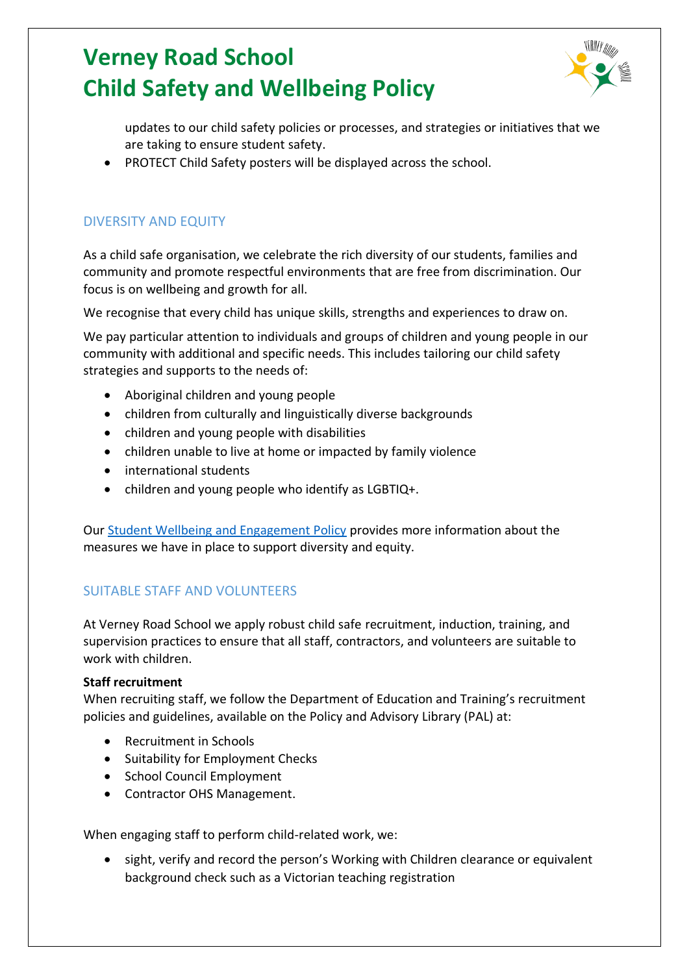

updates to our child safety policies or processes, and strategies or initiatives that we are taking to ensure student safety.

• PROTECT Child Safety posters will be displayed across the school.

## DIVERSITY AND EQUITY

As a child safe organisation, we celebrate the rich diversity of our students, families and community and promote respectful environments that are free from discrimination. Our focus is on wellbeing and growth for all.

We recognise that every child has unique skills, strengths and experiences to draw on.

We pay particular attention to individuals and groups of children and young people in our community with additional and specific needs. This includes tailoring our child safety strategies and supports to the needs of:

- Aboriginal children and young people
- children from culturally and linguistically diverse backgrounds
- children and young people with disabilities
- children unable to live at home or impacted by family violence
- international students
- children and young people who identify as LGBTIQ+.

Our [Student Wellbeing and Engagement Policy](http://verneyrd.vic.edu.au/wp-content/uploads/2022/06/VRS-Student-Wellbeing-Engagement-Policy.pdf) provides more information about the measures we have in place to support diversity and equity.

## SUITABLE STAFF AND VOLUNTEERS

At Verney Road School we apply robust child safe recruitment, induction, training, and supervision practices to ensure that all staff, contractors, and volunteers are suitable to work with children.

#### **Staff recruitment**

When recruiting staff, we follow the Department of Education and Training's recruitment policies and guidelines, available on the Policy and Advisory Library (PAL) at:

- [Recruitment in Schools](https://www2.education.vic.gov.au/pal/recruitment-schools/overview)
- [Suitability for Employment Checks](https://www2.education.vic.gov.au/pal/suitability-employment-checks/overview)
- [School Council Employment](https://www2.education.vic.gov.au/pal/school-council-employment/overview)
- [Contractor OHS Management.](https://www2.education.vic.gov.au/pal/contractor-ohs-management/policy)

When engaging staff to perform child-related work, we:

• sight, verify and record the person's Working with Children clearance or equivalent background check such as a Victorian teaching registration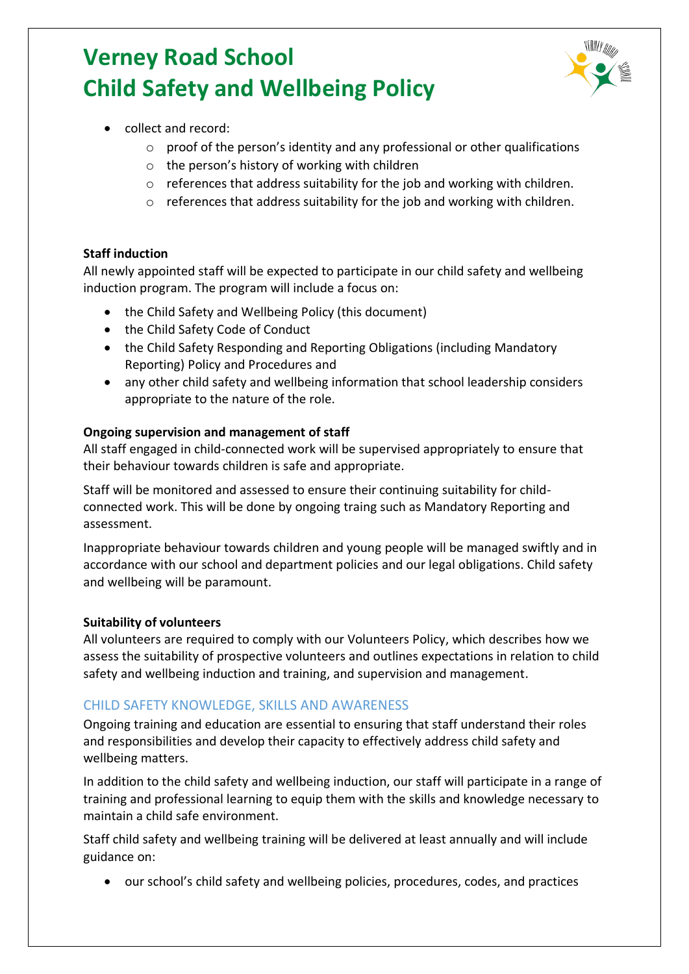

- collect and record:
	- o proof of the person's identity and any professional or other qualifications
	- o the person's history of working with children
	- o references that address suitability for the job and working with children.
	- o references that address suitability for the job and working with children.

#### **Staff induction**

All newly appointed staff will be expected to participate in our child safety and wellbeing induction program. The program will include a focus on:

- the Child Safety and Wellbeing Policy (this document)
- the Child Safety Code of Conduct
- the Child Safety Responding and Reporting Obligations (including Mandatory Reporting) Policy and Procedures and
- any other child safety and wellbeing information that school leadership considers appropriate to the nature of the role.

#### **Ongoing supervision and management of staff**

All staff engaged in child-connected work will be supervised appropriately to ensure that their behaviour towards children is safe and appropriate.

Staff will be monitored and assessed to ensure their continuing suitability for childconnected work. This will be done by ongoing traing such as Mandatory Reporting and assessment.

Inappropriate behaviour towards children and young people will be managed swiftly and in accordance with our school and department policies and our legal obligations. Child safety and wellbeing will be paramount.

#### **Suitability of volunteers**

All volunteers are required to comply with our Volunteers Policy, which describes how we assess the suitability of prospective volunteers and outlines expectations in relation to child safety and wellbeing induction and training, and supervision and management.

#### CHILD SAFETY KNOWLEDGE, SKILLS AND AWARENESS

Ongoing training and education are essential to ensuring that staff understand their roles and responsibilities and develop their capacity to effectively address child safety and wellbeing matters.

In addition to the child safety and wellbeing induction, our staff will participate in a range of training and professional learning to equip them with the skills and knowledge necessary to maintain a child safe environment.

Staff child safety and wellbeing training will be delivered at least annually and will include guidance on:

• our school's child safety and wellbeing policies, procedures, codes, and practices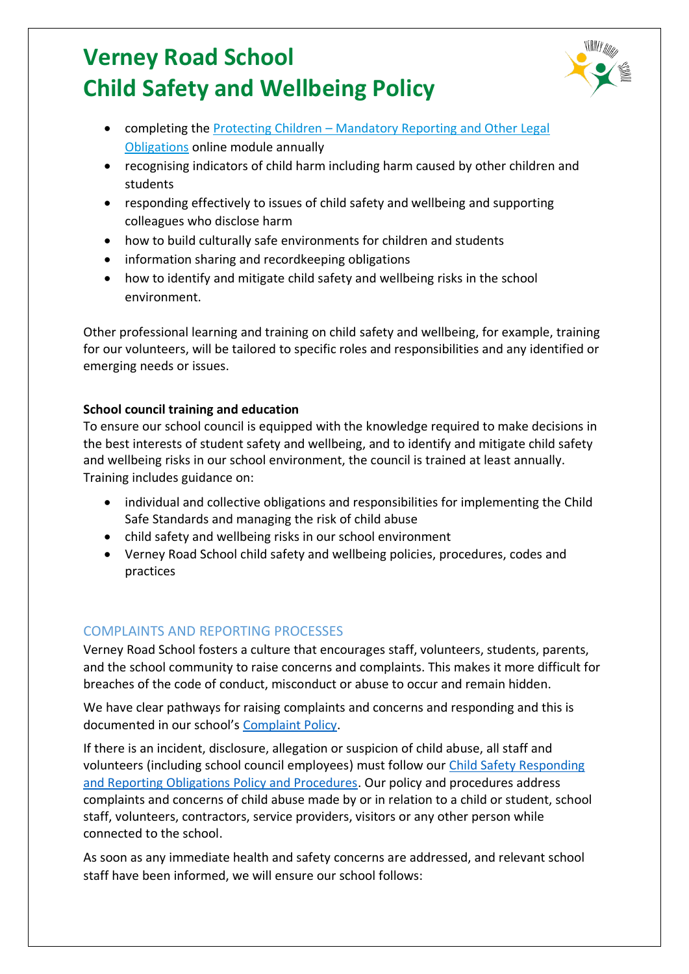

- completing the Protecting Children [Mandatory Reporting and Other Legal](http://elearn.com.au/det/protectingchildren/)  [Obligations](http://elearn.com.au/det/protectingchildren/) online module annually
- recognising indicators of child harm including harm caused by other children and students
- responding effectively to issues of child safety and wellbeing and supporting colleagues who disclose harm
- how to build culturally safe environments for children and students
- information sharing and recordkeeping obligations
- how to identify and mitigate child safety and wellbeing risks in the school environment.

Other professional learning and training on child safety and wellbeing, for example, training for our volunteers, will be tailored to specific roles and responsibilities and any identified or emerging needs or issues.

### **School council training and education**

To ensure our school council is equipped with the knowledge required to make decisions in the best interests of student safety and wellbeing, and to identify and mitigate child safety and wellbeing risks in our school environment, the council is trained at least annually. Training includes guidance on:

- individual and collective obligations and responsibilities for implementing the Child Safe Standards and managing the risk of child abuse
- child safety and wellbeing risks in our school environment
- Verney Road School child safety and wellbeing policies, procedures, codes and practices

### COMPLAINTS AND REPORTING PROCESSES

Verney Road School fosters a culture that encourages staff, volunteers, students, parents, and the school community to raise concerns and complaints. This makes it more difficult for breaches of the code of conduct, misconduct or abuse to occur and remain hidden.

We have clear pathways for raising complaints and concerns and responding and this is documented in our school's [Complaint Policy.](http://verneyrd.vic.edu.au/wp-content/uploads/2022/06/VRS-Complaints-Policy.pdf)

If there is an incident, disclosure, allegation or suspicion of child abuse, all staff and volunteers (including school council employees) must follow our [Child Safety Responding](http://verneyrd.vic.edu.au/wp-content/uploads/2022/06/VRS-Child-Safety-Responding-and-Reporting-Obligations-Policy-and-Procedures.pdf)  [and Reporting Obligations Policy and Procedures.](http://verneyrd.vic.edu.au/wp-content/uploads/2022/06/VRS-Child-Safety-Responding-and-Reporting-Obligations-Policy-and-Procedures.pdf) Our policy and procedures address complaints and concerns of child abuse made by or in relation to a child or student, school staff, volunteers, contractors, service providers, visitors or any other person while connected to the school.

As soon as any immediate health and safety concerns are addressed, and relevant school staff have been informed, we will ensure our school follows: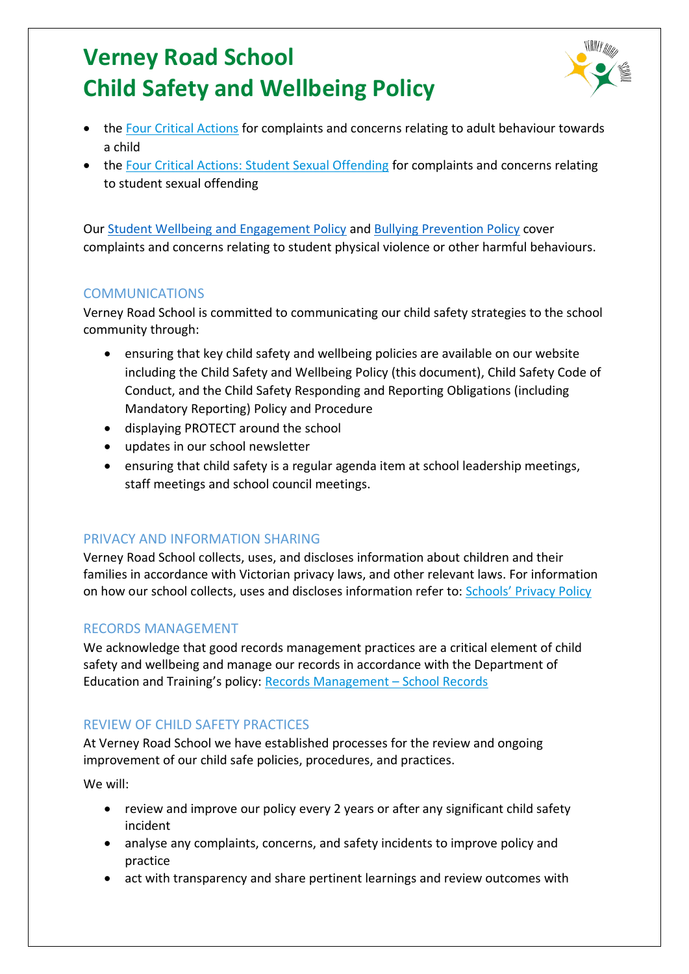

- the [Four Critical Actions](https://www.education.vic.gov.au/Documents/about/programs/health/protect/FourCriticalActions_ChildAbuse.pdf) for complaints and concerns relating to adult behaviour towards a child
- the [Four Critical Actions: Student Sexual Offending](https://www.education.vic.gov.au/school/teachers/health/childprotection/Pages/stusexual.aspx) for complaints and concerns relating to student sexual offending

Our [Student Wellbeing and Engagement Policy](http://verneyrd.vic.edu.au/wp-content/uploads/2022/06/VRS-Student-Wellbeing-Engagement-Policy.pdf) and [Bullying Prevention Policy](http://verneyrd.vic.edu.au/wp-content/uploads/2022/06/VRS-Bullying-Prevention-Policy.pdf) cover complaints and concerns relating to student physical violence or other harmful behaviours.

### **COMMUNICATIONS**

Verney Road School is committed to communicating our child safety strategies to the school community through:

- ensuring that key child safety and wellbeing policies are available on our website including the Child Safety and Wellbeing Policy (this document), Child Safety Code of Conduct, and the Child Safety Responding and Reporting Obligations (including Mandatory Reporting) Policy and Procedure
- displaying PROTECT around the school
- updates in our school newsletter
- ensuring that child safety is a regular agenda item at school leadership meetings, staff meetings and school council meetings.

### PRIVACY AND INFORMATION SHARING

Verney Road School collects, uses, and discloses information about children and their families in accordance with Victorian privacy laws, and other relevant laws. For information on how our school collects, uses and discloses information refer to: [Schools' Privacy Policy](https://www.education.vic.gov.au/Pages/schoolsprivacypolicy.aspx)

### RECORDS MANAGEMENT

We acknowledge that good records management practices are a critical element of child safety and wellbeing and manage our records in accordance with the Department of Education and Training's policy: [Records Management](https://www2.education.vic.gov.au/pal/records-management/policy) – School Records

## REVIEW OF CHILD SAFETY PRACTICES

At Verney Road School we have established processes for the review and ongoing improvement of our child safe policies, procedures, and practices.

We will:

- review and improve our policy every 2 years or after any significant child safety incident
- analyse any complaints, concerns, and safety incidents to improve policy and practice
- act with transparency and share pertinent learnings and review outcomes with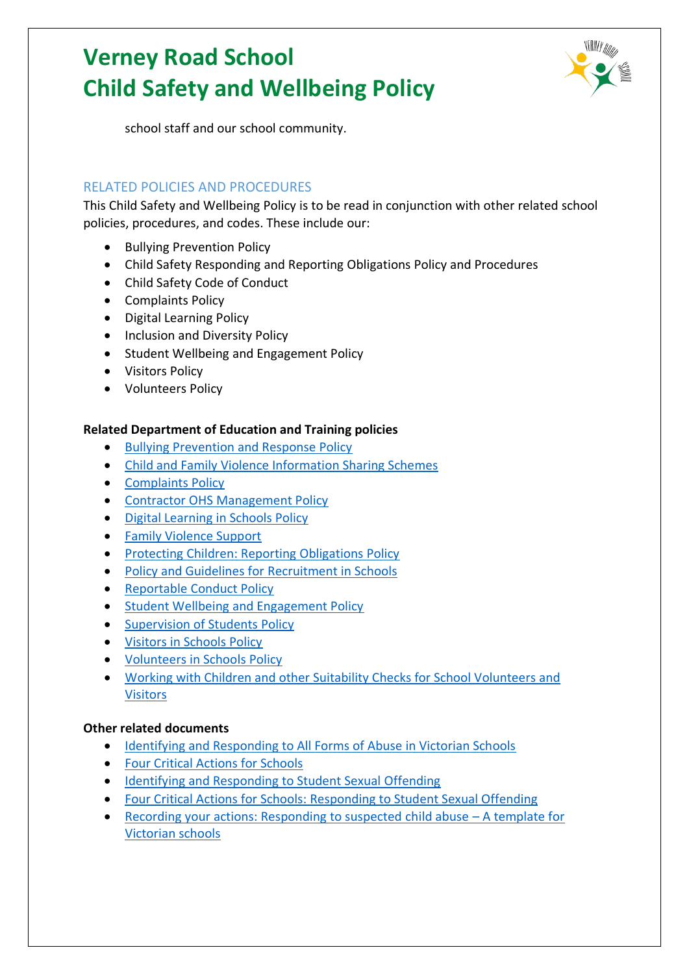

school staff and our school community.

### RELATED POLICIES AND PROCEDURES

This Child Safety and Wellbeing Policy is to be read in conjunction with other related school policies, procedures, and codes. These include our:

- Bullying Prevention Policy
- Child Safety Responding and Reporting Obligations Policy and Procedures
- Child Safety Code of Conduct
- Complaints Policy
- Digital Learning Policy
- Inclusion and Diversity Policy
- Student Wellbeing and Engagement Policy
- Visitors Policy
- Volunteers Policy

#### **Related Department of Education and Training policies**

- [Bullying Prevention and Response Policy](https://www2.education.vic.gov.au/pal/bullying-prevention-response/policy)
- [Child and Family Violence Information Sharing Schemes](https://www2.education.vic.gov.au/pal/information-sharing-schemes/policy)
- [Complaints Policy](https://www2.education.vic.gov.au/pal/complaints/policy)
- [Contractor OHS Management Policy](https://www2.education.vic.gov.au/pal/contractor-ohs-management/policy)
- [Digital Learning in Schools Policy](https://www2.education.vic.gov.au/pal/digital-learning/policy)
- [Family Violence Support](https://www2.education.vic.gov.au/pal/family-violence-support/policy)
- [Protecting Children: Reporting Obligations Policy](https://www2.education.vic.gov.au/pal/protecting-children/policy)
- [Policy and Guidelines for Recruitment in Schools](https://www2.education.vic.gov.au/pal/recruitment-schools/policy-and-guidelines)
- [Reportable Conduct Policy](https://www2.education.vic.gov.au/pal/reportable-conduct-scheme/policy)
- [Student Wellbeing and Engagement Policy](https://www2.education.vic.gov.au/pal/student-engagement/policy)
- [Supervision of Students Policy](https://www2.education.vic.gov.au/pal/supervision-students/policy)
- [Visitors in Schools Policy](https://www2.education.vic.gov.au/pal/visitors/policy)
- [Volunteers in Schools Policy](https://www2.education.vic.gov.au/pal/volunteers/policy)
- [Working with Children and other Suitability Checks for School Volunteers and](https://www2.education.vic.gov.au/pal/suitability-checks/policy)  [Visitors](https://www2.education.vic.gov.au/pal/suitability-checks/policy)

#### **Other related documents**

- [Identifying and Responding to All Forms of Abuse in Victorian Schools](https://www.education.vic.gov.au/Documents/about/programs/health/protect/ChildSafeStandard5_SchoolsGuide.pdf)
- [Four Critical Actions for Schools](https://www.education.vic.gov.au/Documents/about/programs/health/protect/FourCriticalActions_ChildAbuse.pdf)
- [Identifying and Responding to Student Sexual Offending](https://www.education.vic.gov.au/Documents/about/programs/health/protect/SSO_Policy.pdf)
- [Four Critical Actions for Schools: Responding to Student Sexual Offending](https://www.education.vic.gov.au/Documents/about/programs/health/protect/FourCriticalActions_SSO.pdf)
- [Recording your actions: Responding to suspected child abuse](https://www.education.vic.gov.au/Documents/about/programs/health/protect/PROTECT_Schoolstemplate.pdf)  A template for [Victorian schools](https://www.education.vic.gov.au/Documents/about/programs/health/protect/PROTECT_Schoolstemplate.pdf)